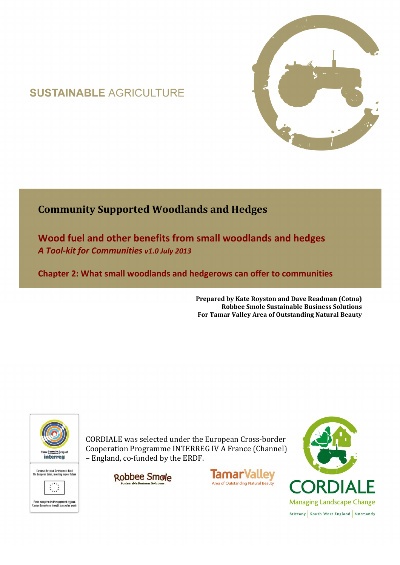# **SUSTAINABLE AGRICULTURE**



# **Community Supported Woodlands and Hedges**

**Wood fuel and other benefits from small woodlands and hedges**  *A Tool-kit for Communities v1.0 July 2013* 

**Chapter 2: What small woodlands and hedgerows can offer to communities** 

**Prepared by Kate Royston and Dave Readman (Cotna) Robbee Smole Sustainable Business Solutions For Tamar Valley Area of Outstanding Natural Beauty**



CORDIALE was selected under the European Cross-border Cooperation Programme INTERREG IV A France (Channel) – England, co-funded by the ERDF.

> Robbee Smole ain able Business Solutio



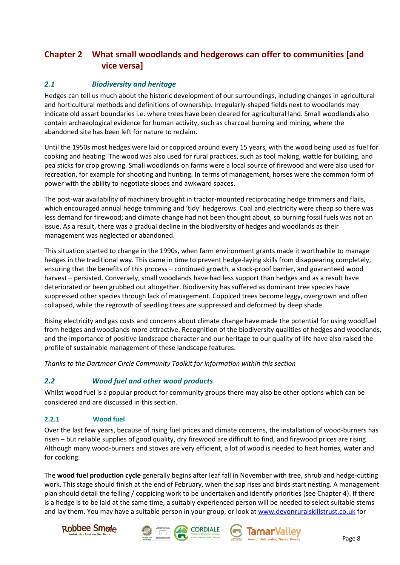## **Chapter 2 What small woodlands and hedgerows can offer to communities [and vice versa]**

#### *2.1 Biodiversity and heritage*

Hedges can tell us much about the historic development of our surroundings, including changes in agricultural and horticultural methods and definitions of ownership. Irregularly-shaped fields next to woodlands may indicate old assart boundaries i.e. where trees have been cleared for agricultural land. Small woodlands also contain archaeological evidence for human activity, such as charcoal burning and mining, where the abandoned site has been left for nature to reclaim.

Until the 1950s most hedges were laid or coppiced around every 15 years, with the wood being used as fuel for cooking and heating. The wood was also used for rural practices, such as tool making, wattle for building, and pea sticks for crop growing. Small woodlands on farms were a local source of firewood and were also used for recreation, for example for shooting and hunting. In terms of management, horses were the common form of power with the ability to negotiate slopes and awkward spaces.

The post-war availability of machinery brought in tractor-mounted reciprocating hedge trimmers and flails, which encouraged annual hedge trimming and 'tidy' hedgerows. Coal and electricity were cheap so there was less demand for firewood; and climate change had not been thought about, so burning fossil fuels was not an issue. As a result, there was a gradual decline in the biodiversity of hedges and woodlands as their management was neglected or abandoned.

This situation started to change in the 1990s, when farm environment grants made it worthwhile to manage hedges in the traditional way. This came in time to prevent hedge-laying skills from disappearing completely, ensuring that the benefits of this process – continued growth, a stock-proof barrier, and guaranteed wood harvest – persisted. Conversely, small woodlands have had less support than hedges and as a result have deteriorated or been grubbed out altogether. Biodiversity has suffered as dominant tree species have suppressed other species through lack of management. Coppiced trees become leggy, overgrown and often collapsed, while the regrowth of seedling trees are suppressed and deformed by deep shade.

Rising electricity and gas costs and concerns about climate change have made the potential for using woodfuel from hedges and woodlands more attractive. Recognition of the biodiversity qualities of hedges and woodlands, and the importance of positive landscape character and our heritage to our quality of life have also raised the profile of sustainable management of these landscape features.

*Thanks to the Dartmoor Circle Community Toolkit for information within this section* 

### *2.2 Wood fuel and other wood products*

Whilst wood fuel is a popular product for community groups there may also be other options which can be considered and are discussed in this section.

#### **2.2.1 Wood fuel**

Over the last few years, because of rising fuel prices and climate concerns, the installation of wood-burners has risen – but reliable supplies of good quality, dry firewood are difficult to find, and firewood prices are rising. Although many wood-burners and stoves are very efficient, a lot of wood is needed to heat homes, water and for cooking.

The **wood fuel production cycle** generally begins after leaf fall in November with tree, shrub and hedge-cutting work. This stage should finish at the end of February, when the sap rises and birds start nesting. A management plan should detail the felling / coppicing work to be undertaken and identify priorities (see Chapter 4). If there is a hedge is to be laid at the same time, a suitably experienced person will be needed to select suitable stems and lay them. You may have a suitable person in your group, or look at www.devonruralskillstrust.co.uk for







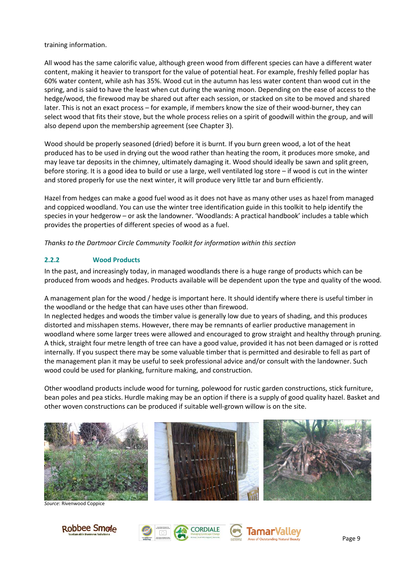training information.

All wood has the same calorific value, although green wood from different species can have a different water content, making it heavier to transport for the value of potential heat. For example, freshly felled poplar has 60% water content, while ash has 35%. Wood cut in the autumn has less water content than wood cut in the spring, and is said to have the least when cut during the waning moon. Depending on the ease of access to the hedge/wood, the firewood may be shared out after each session, or stacked on site to be moved and shared later. This is not an exact process – for example, if members know the size of their wood-burner, they can select wood that fits their stove, but the whole process relies on a spirit of goodwill within the group, and will also depend upon the membership agreement (see Chapter 3).

Wood should be properly seasoned (dried) before it is burnt. If you burn green wood, a lot of the heat produced has to be used in drying out the wood rather than heating the room, it produces more smoke, and may leave tar deposits in the chimney, ultimately damaging it. Wood should ideally be sawn and split green, before storing. It is a good idea to build or use a large, well ventilated log store – if wood is cut in the winter and stored properly for use the next winter, it will produce very little tar and burn efficiently.

Hazel from hedges can make a good fuel wood as it does not have as many other uses as hazel from managed and coppiced woodland. You can use the winter tree identification guide in this toolkit to help identify the species in your hedgerow – or ask the landowner. 'Woodlands: A practical handbook' includes a table which provides the properties of different species of wood as a fuel.

*Thanks to the Dartmoor Circle Community Toolkit for information within this section* 

#### **2.2.2 Wood Products**

In the past, and increasingly today, in managed woodlands there is a huge range of products which can be produced from woods and hedges. Products available will be dependent upon the type and quality of the wood.

A management plan for the wood / hedge is important here. It should identify where there is useful timber in the woodland or the hedge that can have uses other than firewood.

In neglected hedges and woods the timber value is generally low due to years of shading, and this produces distorted and misshapen stems. However, there may be remnants of earlier productive management in woodland where some larger trees were allowed and encouraged to grow straight and healthy through pruning. A thick, straight four metre length of tree can have a good value, provided it has not been damaged or is rotted internally. If you suspect there may be some valuable timber that is permitted and desirable to fell as part of the management plan it may be useful to seek professional advice and/or consult with the landowner. Such wood could be used for planking, furniture making, and construction.

Other woodland products include wood for turning, polewood for rustic garden constructions, stick furniture, bean poles and pea sticks. Hurdle making may be an option if there is a supply of good quality hazel. Basket and other woven constructions can be produced if suitable well-grown willow is on the site.



*Source*: Rivenwood Coppice







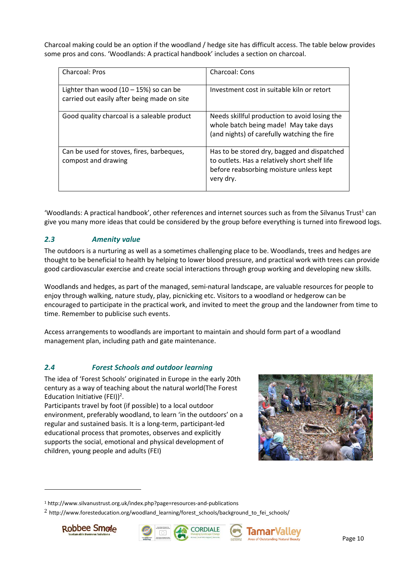Charcoal making could be an option if the woodland / hedge site has difficult access. The table below provides some pros and cons. 'Woodlands: A practical handbook' includes a section on charcoal.

| Charcoal: Pros                                                                          | Charcoal: Cons                                                                                                                                       |
|-----------------------------------------------------------------------------------------|------------------------------------------------------------------------------------------------------------------------------------------------------|
| Lighter than wood $(10 - 15%)$ so can be<br>carried out easily after being made on site | Investment cost in suitable kiln or retort                                                                                                           |
| Good quality charcoal is a saleable product                                             | Needs skillful production to avoid losing the<br>whole batch being made! May take days<br>(and nights) of carefully watching the fire                |
| Can be used for stoves, fires, barbeques,<br>compost and drawing                        | Has to be stored dry, bagged and dispatched<br>to outlets. Has a relatively short shelf life<br>before reabsorbing moisture unless kept<br>very dry. |

'Woodlands: A practical handbook', other references and internet sources such as from the Silvanus Trust<sup>1</sup> can give you many more ideas that could be considered by the group before everything is turned into firewood logs.

#### *2.3 Amenity value*

The outdoors is a nurturing as well as a sometimes challenging place to be. Woodlands, trees and hedges are thought to be beneficial to health by helping to lower blood pressure, and practical work with trees can provide good cardiovascular exercise and create social interactions through group working and developing new skills.

Woodlands and hedges, as part of the managed, semi-natural landscape, are valuable resources for people to enjoy through walking, nature study, play, picnicking etc. Visitors to a woodland or hedgerow can be encouraged to participate in the practical work, and invited to meet the group and the landowner from time to time. Remember to publicise such events.

Access arrangements to woodlands are important to maintain and should form part of a woodland management plan, including path and gate maintenance.

#### *2.4 Forest Schools and outdoor learning*

The idea of 'Forest Schools' originated in Europe in the early 20th century as a way of teaching about the natural world(The Forest Education Initiative (FEI))<sup>2</sup>.

Participants travel by foot (if possible) to a local outdoor environment, preferably woodland, to learn 'in the outdoors' on a regular and sustained basis. It is a long-term, participant-led educational process that promotes, observes and explicitly supports the social, emotional and physical development of children, young people and adults (FEI)



<sup>&</sup>lt;sup>2</sup> http://www.foresteducation.org/woodland\_learning/forest\_schools/background\_to\_fei\_schools/



 $\overline{a}$ 







<sup>&</sup>lt;sup>1</sup> http://www.silvanustrust.org.uk/index.php?page=resources-and-publications